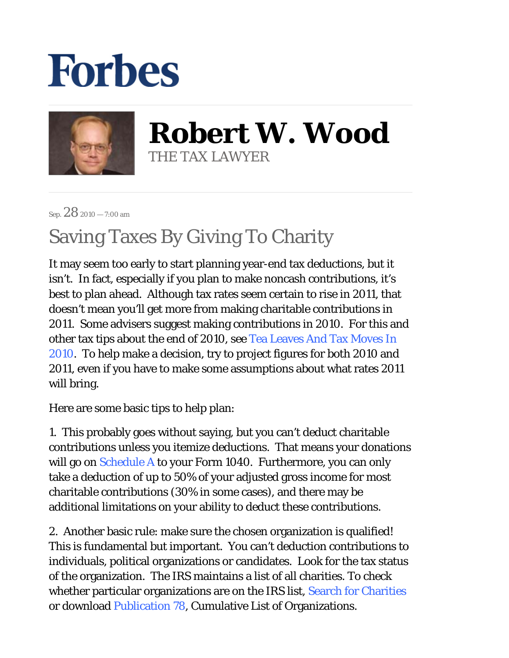## **Forbes**



**Robert W. Wood** THE TAX LAWYER

Sep. 28 2010 — 7:00 am

## Saving Taxes By Giving To Charity

It may seem too early to start planning year-end tax deductions, but it isn't. In fact, especially if you plan to make noncash contributions, it's best to plan ahead. Although tax rates seem certain to rise in 2011, that doesn't mean you'll get more from making charitable contributions in 2011. Some advisers suggest making contributions in 2010. For this and other tax tips about the end of 2010, see Tea Leaves And Tax Moves In 2010. To help make a decision, try to project figures for both 2010 and 2011, even if you have to make some assumptions about what rates 2011 will bring.

Here are some basic tips to help plan:

1. This probably goes without saying, but you can't deduct charitable contributions unless you itemize deductions. That means your donations will go on Schedule A to your Form 1040. Furthermore, you can only take a deduction of up to 50% of your adjusted gross income for most charitable contributions (30% in some cases), and there may be additional limitations on your ability to deduct these contributions.

2. Another basic rule: make sure the chosen organization is qualified! This is fundamental but important. You can't deduction contributions to individuals, political organizations or candidates. Look for the tax status of the organization. The IRS maintains a list of all charities. To check whether particular organizations are on the IRS list, Search for Charities or download Publication 78, Cumulative List of Organizations.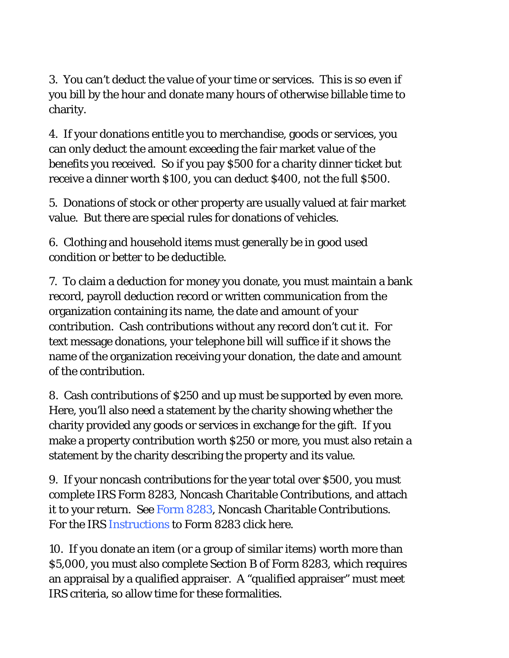3. You can't deduct the value of your time or services. This is so even if you bill by the hour and donate many hours of otherwise billable time to charity.

4. If your donations entitle you to merchandise, goods or services, you can only deduct the amount exceeding the fair market value of the benefits you received. So if you pay \$500 for a charity dinner ticket but receive a dinner worth \$100, you can deduct \$400, not the full \$500.

5. Donations of stock or other property are usually valued at fair market value. But there are special rules for donations of vehicles.

6. Clothing and household items must generally be in good used condition or better to be deductible.

7. To claim a deduction for money you donate, you must maintain a bank record, payroll deduction record or written communication from the organization containing its name, the date and amount of your contribution. Cash contributions without any record don't cut it. For text message donations, your telephone bill will suffice if it shows the name of the organization receiving your donation, the date and amount of the contribution.

8. Cash contributions of \$250 and up must be supported by even more. Here, you'll also need a statement by the charity showing whether the charity provided any goods or services in exchange for the gift. If you make a property contribution worth \$250 or more, you must also retain a statement by the charity describing the property and its value.

9. If your noncash contributions for the year total over \$500, you must complete IRS Form 8283, Noncash Charitable Contributions, and attach it to your return. See Form 8283, Noncash Charitable Contributions. For the IRS Instructions to Form 8283 click here.

10. If you donate an item (or a group of similar items) worth more than \$5,000, you must also complete Section B of Form 8283, which requires an appraisal by a qualified appraiser. A "qualified appraiser" must meet IRS criteria, so allow time for these formalities.